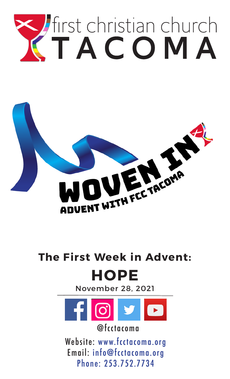



# **The First Week in Advent: HOPE**

November 28, 2021



@fcctacoma

Website: www.fcctacoma.org Email: info@fcctacoma.org Phone: 253.752.7734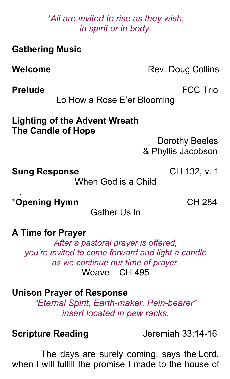*\*All are invited to rise as they wish, in spirit or in body.*

| <b>Gathering Music</b>                                            |                                                |
|-------------------------------------------------------------------|------------------------------------------------|
| Welcome                                                           | Rev. Doug Collins                              |
| <b>Prelude</b>                                                    | <b>FCC Trio</b><br>Lo How a Rose E'er Blooming |
| <b>Lighting of the Advent Wreath</b><br><b>The Candle of Hope</b> | Dorothy Beeles<br>& Phyllis Jacobson           |
| <b>Sung Response</b>                                              | CH 132, v. 1<br>When God is a Child            |
| *Opening Hymn                                                     | CH 284                                         |

Gather Us In

**A Time for Prayer**

*After a pastoral prayer is offered, you're invited to come forward and light a candle as we continue our time of prayer.* Weave CH 495

**Unison Prayer of Response** *"Eternal Spirit, Earth-maker, Pain-bearer"*

*insert located in pew racks.*

**Scripture Reading** Jeremiah 33:14-16

The days are surely coming, says the Lord, when I will fulfill the promise I made to the house of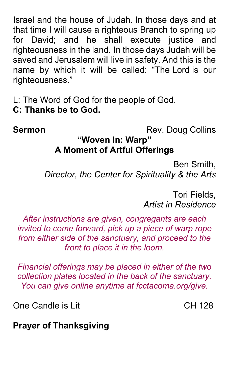Israel and the house of Judah. In those days and at that time I will cause a righteous Branch to spring up for David: and he shall execute justice and righteousness in the land. In those days Judah will be saved and Jerusalem will live in safety. And this is the name by which it will be called: "The Lord is our righteousness."

L: The Word of God for the people of God.  $C:$  Thanks be to God.

**Sermon** Rev. Doug Collins

#### "Woven In: Warp" **A Moment of Artful Offerings**

Ben Smith,  *irector, the enter or Spiritality - the Arts*

> Tori Fields, *Artist in esidence*

*After instructions are given, congregants are each invited to come forward, pic up a piece of warp rope from either side of the sanctuary, and proceed to the front to place it in the loom.*

*inancial offerings may e placed in either of the two collection plates located in the ac of the sanctuary. You can give online anytime at fcctacoma.org/give.* 

One Candle is Lit CH 128

**Prayer of Thanksgiving**